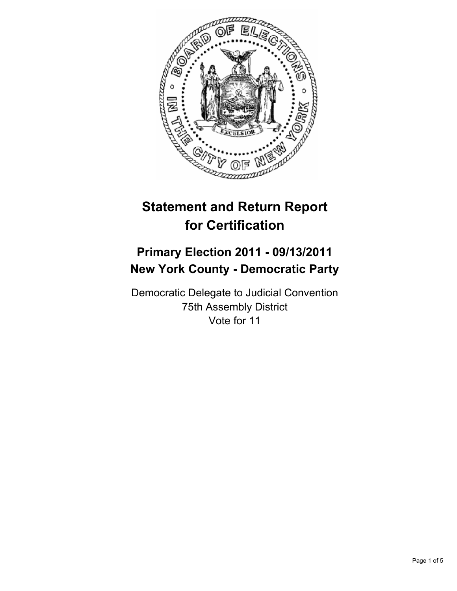

# **Statement and Return Report for Certification**

## **Primary Election 2011 - 09/13/2011 New York County - Democratic Party**

Democratic Delegate to Judicial Convention 75th Assembly District Vote for 11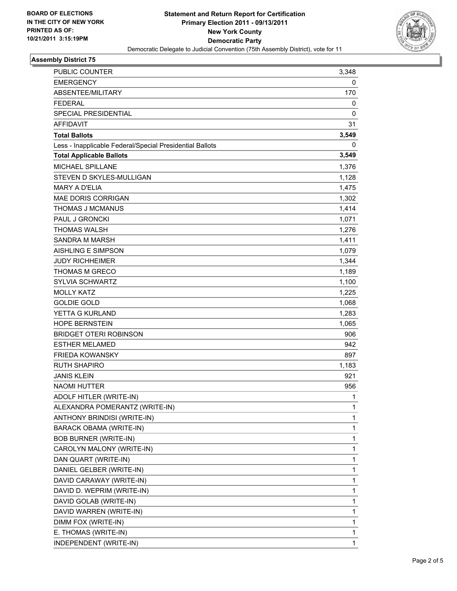

## **Assembly District 75**

| <b>PUBLIC COUNTER</b>                                    | 3,348        |
|----------------------------------------------------------|--------------|
| <b>EMERGENCY</b>                                         | 0            |
| ABSENTEE/MILITARY                                        | 170          |
| <b>FEDERAL</b>                                           | 0            |
| <b>SPECIAL PRESIDENTIAL</b>                              | 0            |
| <b>AFFIDAVIT</b>                                         | 31           |
| <b>Total Ballots</b>                                     | 3,549        |
| Less - Inapplicable Federal/Special Presidential Ballots | 0            |
| <b>Total Applicable Ballots</b>                          | 3,549        |
| MICHAEL SPILLANE                                         | 1,376        |
| STEVEN D SKYLES-MULLIGAN                                 | 1,128        |
| <b>MARY A D'ELIA</b>                                     | 1,475        |
| <b>MAE DORIS CORRIGAN</b>                                | 1,302        |
| <b>THOMAS J MCMANUS</b>                                  | 1,414        |
| PAUL J GRONCKI                                           | 1,071        |
| <b>THOMAS WALSH</b>                                      | 1,276        |
| <b>SANDRA M MARSH</b>                                    | 1,411        |
| AISHLING E SIMPSON                                       | 1,079        |
| <b>JUDY RICHHEIMER</b>                                   | 1,344        |
| <b>THOMAS M GRECO</b>                                    | 1,189        |
| SYLVIA SCHWARTZ                                          | 1,100        |
| <b>MOLLY KATZ</b>                                        | 1,225        |
| <b>GOLDIE GOLD</b>                                       | 1,068        |
| YETTA G KURLAND                                          | 1,283        |
| <b>HOPE BERNSTEIN</b>                                    | 1,065        |
| <b>BRIDGET OTERI ROBINSON</b>                            | 906          |
| <b>ESTHER MELAMED</b>                                    | 942          |
| <b>FRIEDA KOWANSKY</b>                                   | 897          |
| <b>RUTH SHAPIRO</b>                                      | 1,183        |
| <b>JANIS KLEIN</b>                                       | 921          |
| <b>NAOMI HUTTER</b>                                      | 956          |
| ADOLF HITLER (WRITE-IN)                                  | 1            |
| ALEXANDRA POMERANTZ (WRITE-IN)                           | 1            |
| ANTHONY BRINDISI (WRITE-IN)                              | $\mathbf{1}$ |
| <b>BARACK OBAMA (WRITE-IN)</b>                           | 1            |
| <b>BOB BURNER (WRITE-IN)</b>                             | 1            |
| CAROLYN MALONY (WRITE-IN)                                | 1            |
| DAN QUART (WRITE-IN)                                     | 1            |
| DANIEL GELBER (WRITE-IN)                                 | 1            |
| DAVID CARAWAY (WRITE-IN)                                 | 1            |
| DAVID D. WEPRIM (WRITE-IN)                               | 1            |
| DAVID GOLAB (WRITE-IN)                                   | 1            |
| DAVID WARREN (WRITE-IN)                                  | 1            |
| DIMM FOX (WRITE-IN)                                      | 1            |
| E. THOMAS (WRITE-IN)                                     | 1            |
| INDEPENDENT (WRITE-IN)                                   | 1            |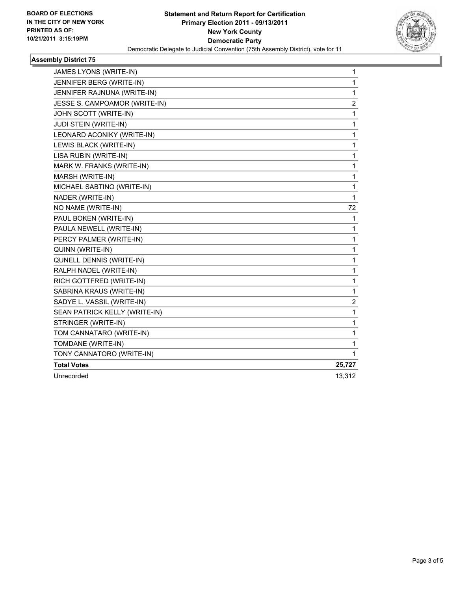

## **Assembly District 75**

| JAMES LYONS (WRITE-IN)        | 1      |
|-------------------------------|--------|
| JENNIFER BERG (WRITE-IN)      | 1      |
| JENNIFER RAJNUNA (WRITE-IN)   | 1      |
| JESSE S. CAMPOAMOR (WRITE-IN) | 2      |
| JOHN SCOTT (WRITE-IN)         | 1      |
| <b>JUDI STEIN (WRITE-IN)</b>  | 1      |
| LEONARD ACONIKY (WRITE-IN)    | 1      |
| LEWIS BLACK (WRITE-IN)        | 1      |
| LISA RUBIN (WRITE-IN)         | 1      |
| MARK W. FRANKS (WRITE-IN)     | 1      |
| MARSH (WRITE-IN)              | 1      |
| MICHAEL SABTINO (WRITE-IN)    | 1      |
| NADER (WRITE-IN)              | 1      |
| NO NAME (WRITE-IN)            | 72     |
| PAUL BOKEN (WRITE-IN)         | 1      |
| PAULA NEWELL (WRITE-IN)       | 1      |
| PERCY PALMER (WRITE-IN)       | 1      |
| QUINN (WRITE-IN)              | 1      |
| QUNELL DENNIS (WRITE-IN)      | 1      |
| RALPH NADEL (WRITE-IN)        | 1      |
| RICH GOTTFRED (WRITE-IN)      | 1      |
| SABRINA KRAUS (WRITE-IN)      | 1      |
| SADYE L. VASSIL (WRITE-IN)    | 2      |
| SEAN PATRICK KELLY (WRITE-IN) | 1      |
| STRINGER (WRITE-IN)           | 1      |
| TOM CANNATARO (WRITE-IN)      | 1      |
| TOMDANE (WRITE-IN)            | 1      |
| TONY CANNATORO (WRITE-IN)     | 1      |
| <b>Total Votes</b>            | 25,727 |
| Unrecorded                    | 13,312 |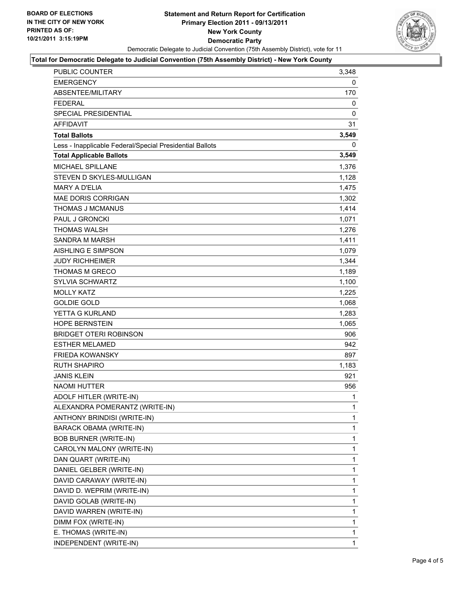

### **Total for Democratic Delegate to Judicial Convention (75th Assembly District) - New York County**

| PUBLIC COUNTER                                           | 3,348        |
|----------------------------------------------------------|--------------|
| <b>EMERGENCY</b>                                         | 0            |
| ABSENTEE/MILITARY                                        | 170          |
| <b>FEDERAL</b>                                           | 0            |
| SPECIAL PRESIDENTIAL                                     | 0            |
| <b>AFFIDAVIT</b>                                         | 31           |
| <b>Total Ballots</b>                                     | 3,549        |
| Less - Inapplicable Federal/Special Presidential Ballots | 0            |
| <b>Total Applicable Ballots</b>                          | 3,549        |
| MICHAEL SPILLANE                                         | 1,376        |
| STEVEN D SKYLES-MULLIGAN                                 | 1,128        |
| <b>MARY A D'ELIA</b>                                     | 1,475        |
| <b>MAE DORIS CORRIGAN</b>                                | 1,302        |
| THOMAS J MCMANUS                                         | 1,414        |
| <b>PAUL J GRONCKI</b>                                    | 1,071        |
| <b>THOMAS WALSH</b>                                      | 1,276        |
| <b>SANDRA M MARSH</b>                                    | 1,411        |
| AISHLING E SIMPSON                                       | 1,079        |
| <b>JUDY RICHHEIMER</b>                                   | 1,344        |
| <b>THOMAS M GRECO</b>                                    | 1,189        |
| <b>SYLVIA SCHWARTZ</b>                                   | 1,100        |
| <b>MOLLY KATZ</b>                                        | 1,225        |
| <b>GOLDIE GOLD</b>                                       | 1,068        |
| YETTA G KURLAND                                          | 1,283        |
| <b>HOPE BERNSTEIN</b>                                    | 1,065        |
| <b>BRIDGET OTERI ROBINSON</b>                            | 906          |
| <b>ESTHER MELAMED</b>                                    | 942          |
| <b>FRIEDA KOWANSKY</b>                                   | 897          |
| <b>RUTH SHAPIRO</b>                                      | 1,183        |
| <b>JANIS KLEIN</b>                                       | 921          |
| <b>NAOMI HUTTER</b>                                      | 956          |
| ADOLF HITLER (WRITE-IN)                                  | $\mathbf{1}$ |
| ALEXANDRA POMERANTZ (WRITE-IN)                           | 1            |
| ANTHONY BRINDISI (WRITE-IN)                              | 1            |
| <b>BARACK OBAMA (WRITE-IN)</b>                           | 1            |
| <b>BOB BURNER (WRITE-IN)</b>                             | 1            |
| CAROLYN MALONY (WRITE-IN)                                | 1            |
| DAN QUART (WRITE-IN)                                     | 1            |
| DANIEL GELBER (WRITE-IN)                                 | 1            |
| DAVID CARAWAY (WRITE-IN)                                 | 1            |
| DAVID D. WEPRIM (WRITE-IN)                               | 1            |
| DAVID GOLAB (WRITE-IN)                                   | 1            |
| DAVID WARREN (WRITE-IN)                                  | 1            |
| DIMM FOX (WRITE-IN)                                      | 1            |
| E. THOMAS (WRITE-IN)                                     | 1            |
| INDEPENDENT (WRITE-IN)                                   | 1            |